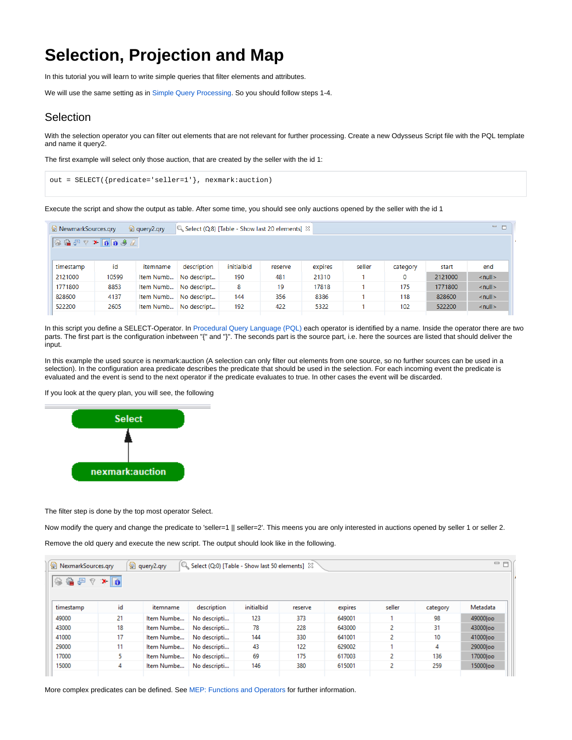## **Selection, Projection and Map**

In this tutorial you will learn to write simple queries that filter elements and attributes.

We will use the same setting as in [Simple Query Processing.](https://wiki.odysseus.informatik.uni-oldenburg.de/display/ODYSSEUS/Simple+Query+Processing) So you should follow steps 1-4.

## **Selection**

With the selection operator you can filter out elements that are not relevant for further processing. Create a new Odysseus Script file with the PQL template and name it query2.

The first example will select only those auction, that are created by the seller with the id 1:

```
out = SELECT({predicate='seller=1'}, nexmark:auction)
```
Execute the script and show the output as table. After some time, you should see only auctions opened by the seller with the id 1

| RewmarkSources.gry                                                                                                  |       | $\triangleq$ query 2.qry | Select (Q:8) [Table - Show last 20 elements] $\%$ |            |         |         |        |          |         | $=$ $=$            |
|---------------------------------------------------------------------------------------------------------------------|-------|--------------------------|---------------------------------------------------|------------|---------|---------|--------|----------|---------|--------------------|
| $\otimes \mathbf{G} \otimes \mathbf{F} \otimes \mathbf{F} \otimes \mathbf{F} \otimes \mathbf{F} \otimes \mathbf{F}$ |       |                          |                                                   |            |         |         |        |          |         |                    |
|                                                                                                                     |       |                          |                                                   |            |         |         |        |          |         |                    |
| timestamp                                                                                                           | id    | itemname                 | description                                       | initialbid | reserve | expires | seller | category | start   | end                |
| 2121000                                                                                                             | 10599 | Item Numb                | No descript                                       | 190        | 481     | 21310   |        | $\bf{0}$ | 2121000 | $\le$ null $\ge$   |
| 1771800                                                                                                             | 8853  | Item Numb                | No descript                                       | 8          | 19      | 17818   |        | 175      | 1771800 | $\le$ null $\ge$   |
| 828600                                                                                                              | 4137  | Item Numb                | No descript                                       | 144        | 356     | 8386    |        | 118      | 828600  | $\le$ null $\ge$   |
| 522200                                                                                                              | 2605  | Item Numb                | No descript                                       | 192        | 422     | 5322    |        | 102      | 522200  | $\leq$ null $\geq$ |

In this script you define a SELECT-Operator. In [Procedural Query Language \(PQL\)](https://wiki.odysseus.informatik.uni-oldenburg.de/pages/viewpage.action?pageId=4587829) each operator is identified by a name. Inside the operator there are two parts. The first part is the configuration inbetween "{" and "}". The seconds part is the source part, i.e. here the sources are listed that should deliver the input.

In this example the used source is nexmark:auction (A selection can only filter out elements from one source, so no further sources can be used in a selection). In the configuration area predicate describes the predicate that should be used in the selection. For each incoming event the predicate is evaluated and the event is send to the next operator if the predicate evaluates to true. In other cases the event will be discarded.

If you look at the query plan, you will see, the following



The filter step is done by the top most operator Select.

Now modify the query and change the predicate to 'seller=1 || seller=2'. This meens you are only interested in auctions opened by seller 1 or seller 2.

Remove the old query and execute the new script. The output should look like in the following.

| NexmarkSources.gry |    | $\circledR$ query2.qry | C. Select (Q:0) [Table - Show last 50 elements] $23$ |            |         |         |        |          | $=$ $F$   |
|--------------------|----|------------------------|------------------------------------------------------|------------|---------|---------|--------|----------|-----------|
| ※ 着 早 マ *   8      |    |                        |                                                      |            |         |         |        |          |           |
|                    |    |                        |                                                      |            |         |         |        |          |           |
| timestamp          | id | itemname               | description                                          | initialbid | reserve | expires | seller | category | Metadata  |
| 49000              | 21 | Item Numbe             | No descripti                                         | 123        | 373     | 649001  |        | 98       | 49000loo  |
| 43000              | 18 | Item Numbe             | No descripti                                         | 78         | 228     | 643000  | 2      | 31       | 43000loo  |
| 41000              | 17 | Item Numbe             | No descripti                                         | 144        | 330     | 641001  | 2      | 10       | 41000 loo |
| 29000              | 11 | Item Numbe             | No descripti                                         | 43         | 122     | 629002  |        | 4        | 29000loo  |
| 17000              | 5  | Item Numbe             | No descripti                                         | 69         | 175     | 617003  |        | 136      | 17000loo  |
| 15000              | 4  | Item Numbe             | No descripti                                         | 146        | 380     | 615001  | 2      | 259      | 15000 loo |
|                    |    |                        |                                                      |            |         |         |        |          |           |

More complex predicates can be defined. See [MEP: Functions and Operators](https://wiki.odysseus.informatik.uni-oldenburg.de/display/ODYSSEUS/MEP%3A+Functions+and+Operators) for further information.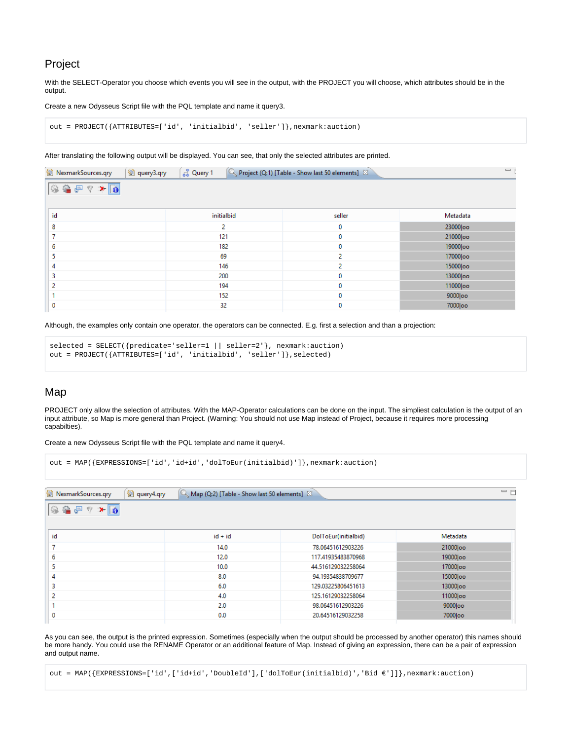## Project

With the SELECT-Operator you choose which events you will see in the output, with the PROJECT you will choose, which attributes should be in the output.

Create a new Odysseus Script file with the PQL template and name it query3.

```
out = PROJECT({ATTRIBUTES=['id', 'initialbid', 'seller']},nexmark:auction)
```
After translating the following output will be displayed. You can see, that only the selected attributes are printed.

| NexmarkSources.qry<br>图 query3.qry | ္တြင္ပါ Query 1 | Project (Q:1) [Table - Show last 50 elements] $\boxtimes$ | $\qquad \qquad =$ |
|------------------------------------|-----------------|-----------------------------------------------------------|-------------------|
| 安全是了本面                             |                 |                                                           |                   |
| id                                 | initialbid      | seller                                                    | Metadata          |
| 8                                  | $\overline{2}$  | $\mathbf 0$                                               | 23000 loo         |
|                                    | 121             | 0                                                         | 21000 oo          |
| 6                                  | 182             | $\mathbf 0$                                               | 19000 loo         |
|                                    | 69              | $\overline{2}$                                            | 17000 loo         |
|                                    | 146             | $\overline{2}$                                            | 15000 loo         |
| 3                                  | 200             | 0                                                         | 13000 loo         |
|                                    | 194             | 0                                                         | 11000 oo          |
|                                    | 152             | 0                                                         | 9000 loo          |
| 0                                  | 32              | 0                                                         | 7000 loo          |

Although, the examples only contain one operator, the operators can be connected. E.g. first a selection and than a projection:

```
selected = SELECT({predicate='seller=1 || seller=2'}, nexmark:auction)
out = PROJECT({ATTRIBUTES=['id', 'initialbid', 'seller']},selected)
```
## Map

PROJECT only allow the selection of attributes. With the MAP-Operator calculations can be done on the input. The simpliest calculation is the output of an input attribute, so Map is more general than Project. (Warning: You should not use Map instead of Project, because it requires more processing capabilties).

 $=$   $\overline{E}$ 

Create a new Odysseus Script file with the PQL template and name it query4.

```
out = MAP({EXPRESSIONS=['id','id+id','dolToEur(initialbid)']},nexmark:auction)
```
 $\circledR$  NexmarkSources.gry  $\circledR$  guery4.gry  $\circledR$  Man (0:2) [Table - Show last 50 elements]

| <b>El Tremmancourcement</b> | $-$ query many | $\beta$ map (see) frame, onow last so crements), but |                      |           |  |  |
|-----------------------------|----------------|------------------------------------------------------|----------------------|-----------|--|--|
| ◎ 鲁戸 ? * 同                  |                |                                                      |                      |           |  |  |
| id                          |                | $id + id$                                            | DolToEur(initialbid) | Metadata  |  |  |
| ⊸                           |                | 14.0                                                 | 78.06451612903226    | 21000 loo |  |  |
| 6                           |                | 12.0                                                 | 117.41935483870968   | 19000 loo |  |  |
|                             |                | 10.0                                                 | 44.516129032258064   | 17000 loo |  |  |
|                             |                | 8.0                                                  | 94.19354838709677    | 15000 loo |  |  |
| з                           |                | 6.0                                                  | 129.03225806451613   | 13000loo  |  |  |
| ÷                           |                | 4.0                                                  | 125.16129032258064   | 11000 loo |  |  |
|                             |                | 2.0                                                  | 98.06451612903226    | 9000 loo  |  |  |
| 0                           |                | 0.0                                                  | 20.64516129032258    | 7000 loo  |  |  |
|                             |                |                                                      |                      |           |  |  |

As you can see, the output is the printed expression. Sometimes (especially when the output should be processed by another operator) this names should be more handy. You could use the RENAME Operator or an additional feature of Map. Instead of giving an expression, there can be a pair of expression and output name.

out = MAP({EXPRESSIONS=['id',['id+id','DoubleId'],['dolToEur(initialbid)','Bid €']]},nexmark:auction)